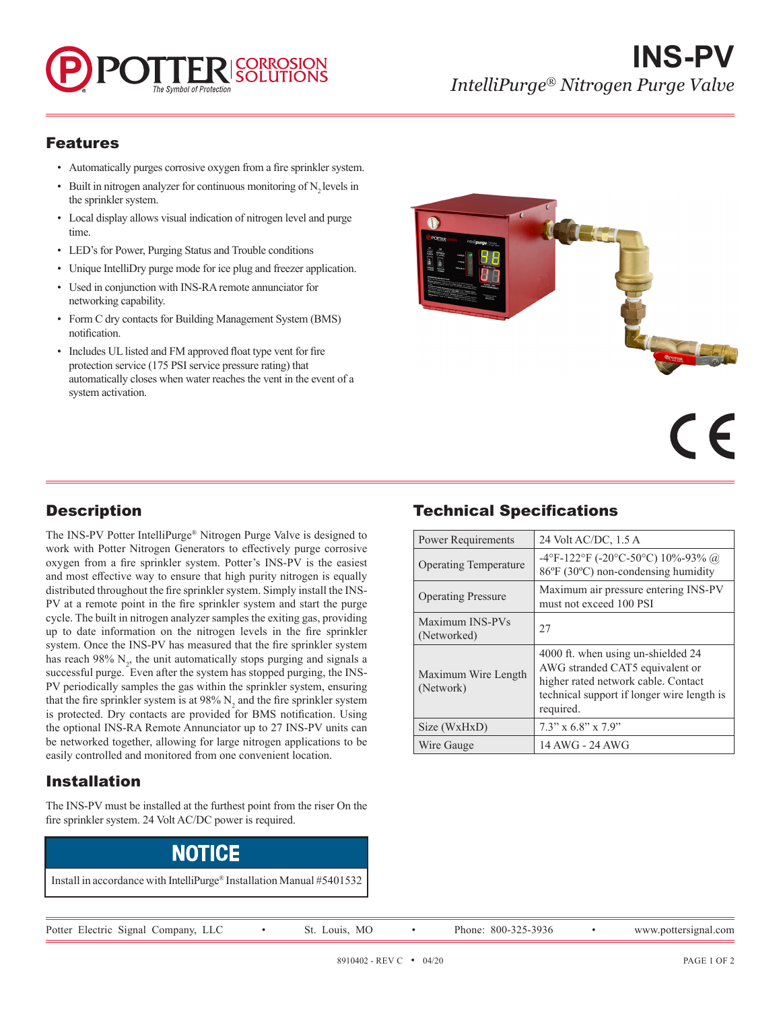# **INS-PV** *IntelliPurge® Nitrogen Purge Valve*

#### Features

- Automatically purges corrosive oxygen from a fire sprinkler system.
- Built in nitrogen analyzer for continuous monitoring of  $N$ , levels in the sprinkler system.
- Local display allows visual indication of nitrogen level and purge time.
- LED's for Power, Purging Status and Trouble conditions
- Unique IntelliDry purge mode for ice plug and freezer application.
- Used in conjunction with INS-RA remote annunciator for networking capability.
- Form C dry contacts for Building Management System (BMS) notification.
- Includes UL listed and FM approved float type vent for fire protection service (175 PSI service pressure rating) that automatically closes when water reaches the vent in the event of a system activation.



# **Description**

The INS-PV Potter IntelliPurge® Nitrogen Purge Valve is designed to work with Potter Nitrogen Generators to effectively purge corrosive oxygen from a fire sprinkler system. Potter's INS-PV is the easiest and most effective way to ensure that high purity nitrogen is equally distributed throughout the fire sprinkler system. Simply install the INS-PV at a remote point in the fire sprinkler system and start the purge cycle. The built in nitrogen analyzer samples the exiting gas, providing up to date information on the nitrogen levels in the fire sprinkler system. Once the INS-PV has measured that the fire sprinkler system has reach  $98\%$  N<sub>2</sub>, the unit automatically stops purging and signals a successful purge. Even after the system has stopped purging, the INS-PV periodically samples the gas within the sprinkler system, ensuring that the fire sprinkler system is at 98%  $N_2$  and the fire sprinkler system is protected. Dry contacts are provided for BMS notification. Using the optional INS-RA Remote Annunciator up to 27 INS-PV units can be networked together, allowing for large nitrogen applications to be easily controlled and monitored from one convenient location.

## Installation

The INS-PV must be installed at the furthest point from the riser On the fire sprinkler system. 24 Volt AC/DC power is required.

# NOTICE

Install in accordance with IntelliPurge® Installation Manual #5401532

### Technical Specifications

| Power Requirements               | 24 Volt AC/DC, 1.5 A                                                                                                                                                    |
|----------------------------------|-------------------------------------------------------------------------------------------------------------------------------------------------------------------------|
| <b>Operating Temperature</b>     | $-4$ °F $-122$ °F $(-20$ °C $-50$ °C $)$ 10% $-93\%$ @<br>86°F (30°C) non-condensing humidity                                                                           |
| <b>Operating Pressure</b>        | Maximum air pressure entering INS-PV<br>must not exceed 100 PSI                                                                                                         |
| Maximum INS-PVs<br>(Networked)   | 27                                                                                                                                                                      |
| Maximum Wire Length<br>(Network) | 4000 ft. when using un-shielded 24<br>AWG stranded CAT5 equivalent or<br>higher rated network cable. Contact<br>technical support if longer wire length is<br>required. |
| Size (WxHxD)                     | $7.3$ " x $6.8$ " x $7.9$ "                                                                                                                                             |
| Wire Gauge                       | 14 AWG - 24 AWG                                                                                                                                                         |

Potter Electric Signal Company, LLC • St. Louis, MO • Phone: 800-325-3936 • www.pottersignal.com